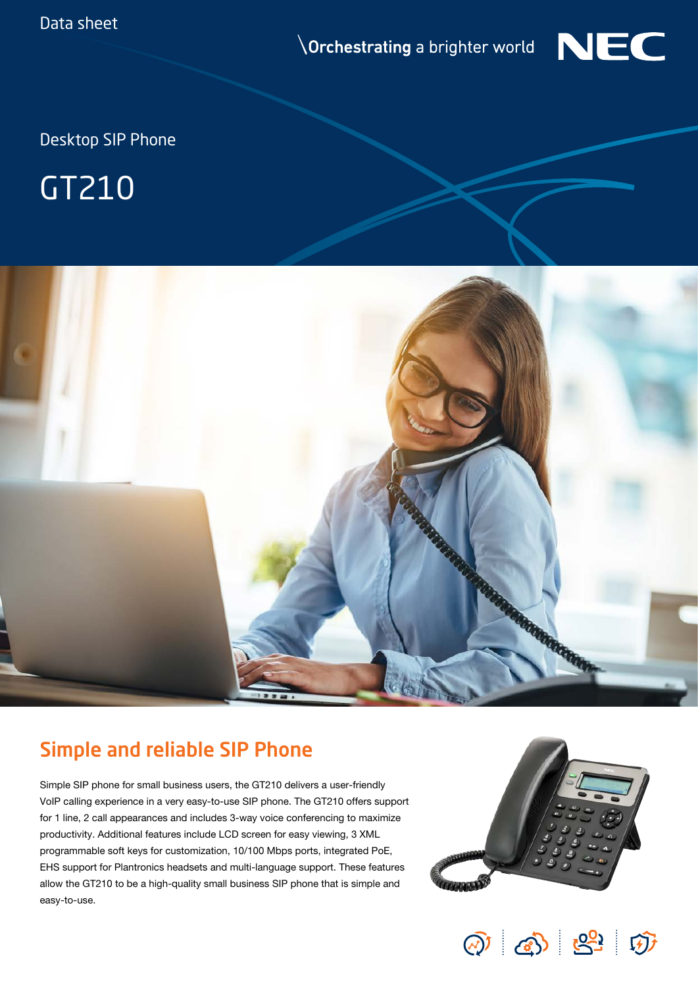**Orchestrating** a brighter world



Desktop SIP Phone

## GT210



## Simple and reliable SIP Phone

Simple SIP phone for small business users, the GT210 delivers a user-friendly VoIP calling experience in a very easy-to-use SIP phone. The GT210 offers support for 1 line, 2 call appearances and includes 3-way voice conferencing to maximize productivity. Additional features include LCD screen for easy viewing, 3 XML programmable soft keys for customization, 10/100 Mbps ports, integrated PoE, EHS support for Plantronics headsets and multi-language support. These features allow the GT210 to be a high-quality small business SIP phone that is simple and easy-to-use.



 $\textcircled{a}$   $\textcircled{a}$   $\textcircled{a}$   $\textcircled{b}$